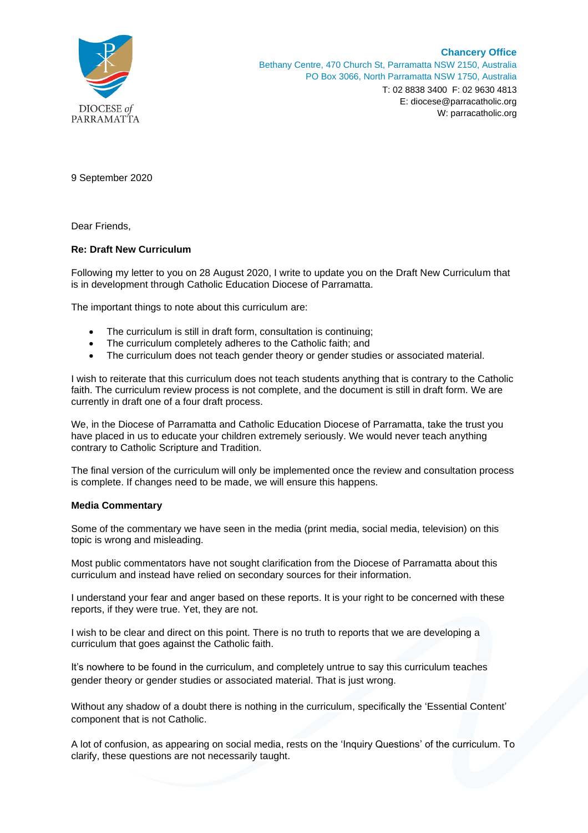

9 September 2020

Dear Friends,

## **Re: Draft New Curriculum**

Following my letter to you on 28 August 2020, I write to update you on the Draft New Curriculum that is in development through Catholic Education Diocese of Parramatta.

The important things to note about this curriculum are:

- The curriculum is still in draft form, consultation is continuing;
- The curriculum completely adheres to the Catholic faith; and
- The curriculum does not teach gender theory or gender studies or associated material.

I wish to reiterate that this curriculum does not teach students anything that is contrary to the Catholic faith. The curriculum review process is not complete, and the document is still in draft form. We are currently in draft one of a four draft process.

We, in the Diocese of Parramatta and Catholic Education Diocese of Parramatta, take the trust you have placed in us to educate your children extremely seriously. We would never teach anything contrary to Catholic Scripture and Tradition.

The final version of the curriculum will only be implemented once the review and consultation process is complete. If changes need to be made, we will ensure this happens.

## **Media Commentary**

Some of the commentary we have seen in the media (print media, social media, television) on this topic is wrong and misleading.

Most public commentators have not sought clarification from the Diocese of Parramatta about this curriculum and instead have relied on secondary sources for their information.

I understand your fear and anger based on these reports. It is your right to be concerned with these reports, if they were true. Yet, they are not.

I wish to be clear and direct on this point. There is no truth to reports that we are developing a curriculum that goes against the Catholic faith.

It's nowhere to be found in the curriculum, and completely untrue to say this curriculum teaches gender theory or gender studies or associated material. That is just wrong.

Without any shadow of a doubt there is nothing in the curriculum, specifically the 'Essential Content' component that is not Catholic.

A lot of confusion, as appearing on social media, rests on the 'Inquiry Questions' of the curriculum. To clarify, these questions are not necessarily taught.